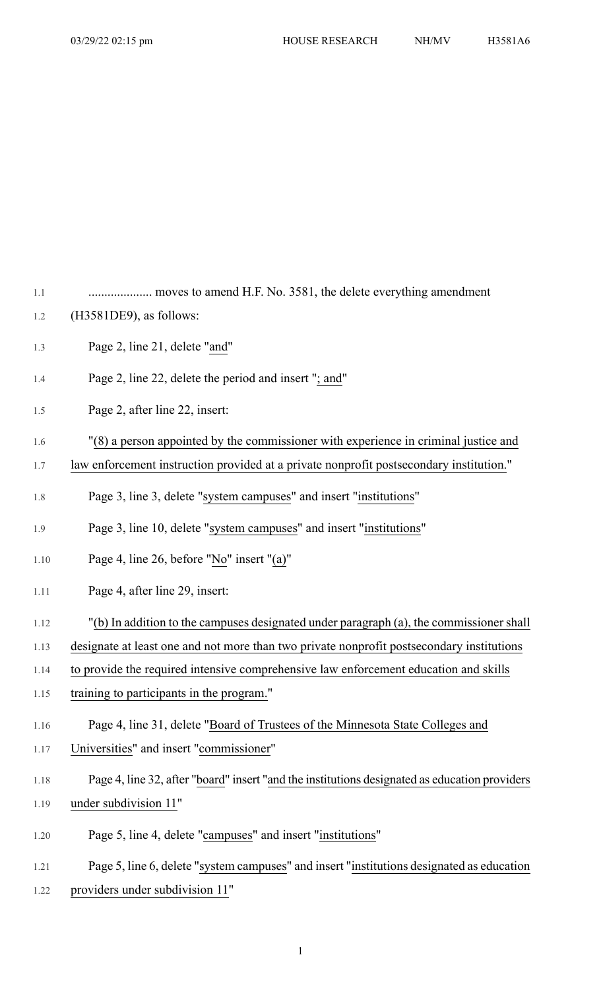| 1.1  | moves to amend H.F. No. 3581, the delete everything amendment                                 |
|------|-----------------------------------------------------------------------------------------------|
| 1.2  | (H3581DE9), as follows:                                                                       |
| 1.3  | Page 2, line 21, delete "and"                                                                 |
| 1.4  | Page 2, line 22, delete the period and insert "; and"                                         |
| 1.5  | Page 2, after line 22, insert:                                                                |
| 1.6  | "(8) a person appointed by the commissioner with experience in criminal justice and           |
| 1.7  | law enforcement instruction provided at a private nonprofit postsecondary institution."       |
| 1.8  | Page 3, line 3, delete "system campuses" and insert "institutions"                            |
| 1.9  | Page 3, line 10, delete "system campuses" and insert "institutions"                           |
| 1.10 | Page 4, line 26, before "No" insert "(a)"                                                     |
| 1.11 | Page 4, after line 29, insert:                                                                |
| 1.12 | "(b) In addition to the campuses designated under paragraph (a), the commissioner shall       |
| 1.13 | designate at least one and not more than two private nonprofit postsecondary institutions     |
| 1.14 | to provide the required intensive comprehensive law enforcement education and skills          |
| 1.15 | training to participants in the program."                                                     |
| 1.16 | Page 4, line 31, delete "Board of Trustees of the Minnesota State Colleges and                |
| 1.17 | Universities" and insert "commissioner"                                                       |
| 1.18 | Page 4, line 32, after "board" insert "and the institutions designated as education providers |
| 1.19 | under subdivision 11"                                                                         |
| 1.20 | Page 5, line 4, delete "campuses" and insert "institutions"                                   |
| 1.21 | Page 5, line 6, delete "system campuses" and insert "institutions designated as education     |
| 1.22 | providers under subdivision 11"                                                               |

1